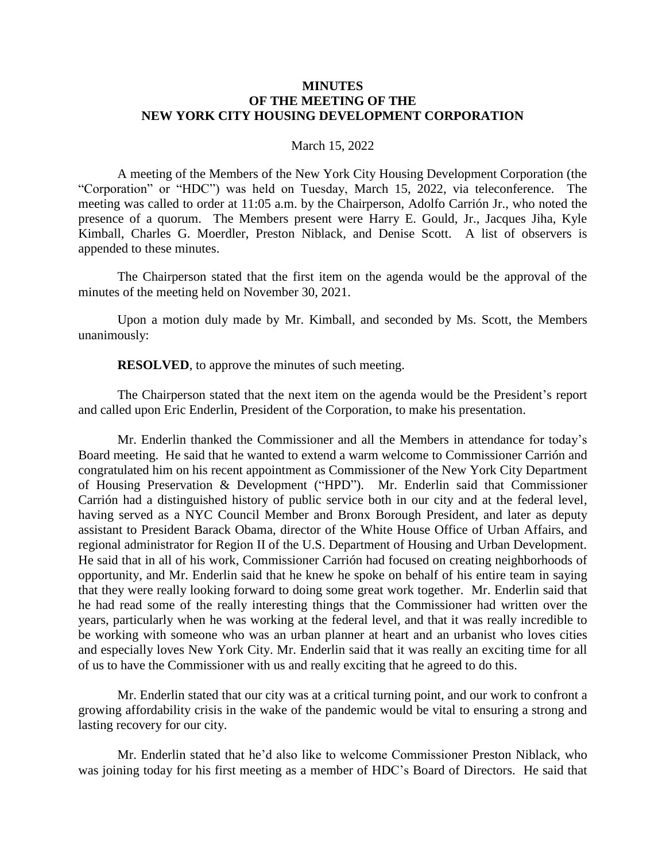### **MINUTES OF THE MEETING OF THE NEW YORK CITY HOUSING DEVELOPMENT CORPORATION**

### March 15, 2022

A meeting of the Members of the New York City Housing Development Corporation (the "Corporation" or "HDC") was held on Tuesday, March 15, 2022, via teleconference. The meeting was called to order at 11:05 a.m. by the Chairperson, Adolfo Carrión Jr., who noted the presence of a quorum. The Members present were Harry E. Gould, Jr., Jacques Jiha, Kyle Kimball, Charles G. Moerdler, Preston Niblack, and Denise Scott. A list of observers is appended to these minutes.

The Chairperson stated that the first item on the agenda would be the approval of the minutes of the meeting held on November 30, 2021.

Upon a motion duly made by Mr. Kimball, and seconded by Ms. Scott, the Members unanimously:

**RESOLVED**, to approve the minutes of such meeting.

The Chairperson stated that the next item on the agenda would be the President's report and called upon Eric Enderlin, President of the Corporation, to make his presentation.

Mr. Enderlin thanked the Commissioner and all the Members in attendance for today's Board meeting. He said that he wanted to extend a warm welcome to Commissioner Carrión and congratulated him on his recent appointment as Commissioner of the New York City Department of Housing Preservation & Development ("HPD"). Mr. Enderlin said that Commissioner Carrión had a distinguished history of public service both in our city and at the federal level, having served as a NYC Council Member and Bronx Borough President, and later as deputy assistant to President Barack Obama, director of the White House Office of Urban Affairs, and regional administrator for Region II of the U.S. Department of Housing and Urban Development. He said that in all of his work, Commissioner Carrión had focused on creating neighborhoods of opportunity, and Mr. Enderlin said that he knew he spoke on behalf of his entire team in saying that they were really looking forward to doing some great work together. Mr. Enderlin said that he had read some of the really interesting things that the Commissioner had written over the years, particularly when he was working at the federal level, and that it was really incredible to be working with someone who was an urban planner at heart and an urbanist who loves cities and especially loves New York City. Mr. Enderlin said that it was really an exciting time for all of us to have the Commissioner with us and really exciting that he agreed to do this.

Mr. Enderlin stated that our city was at a critical turning point, and our work to confront a growing affordability crisis in the wake of the pandemic would be vital to ensuring a strong and lasting recovery for our city.

Mr. Enderlin stated that he'd also like to welcome Commissioner Preston Niblack, who was joining today for his first meeting as a member of HDC's Board of Directors. He said that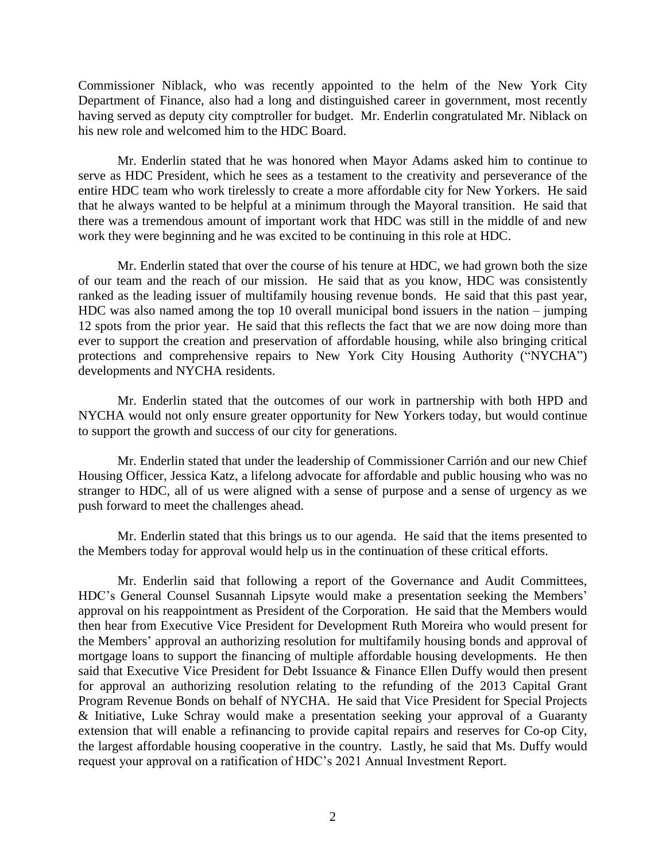Commissioner Niblack, who was recently appointed to the helm of the New York City Department of Finance, also had a long and distinguished career in government, most recently having served as deputy city comptroller for budget. Mr. Enderlin congratulated Mr. Niblack on his new role and welcomed him to the HDC Board.

Mr. Enderlin stated that he was honored when Mayor Adams asked him to continue to serve as HDC President, which he sees as a testament to the creativity and perseverance of the entire HDC team who work tirelessly to create a more affordable city for New Yorkers. He said that he always wanted to be helpful at a minimum through the Mayoral transition. He said that there was a tremendous amount of important work that HDC was still in the middle of and new work they were beginning and he was excited to be continuing in this role at HDC.

Mr. Enderlin stated that over the course of his tenure at HDC, we had grown both the size of our team and the reach of our mission. He said that as you know, HDC was consistently ranked as the leading issuer of multifamily housing revenue bonds. He said that this past year, HDC was also named among the top 10 overall municipal bond issuers in the nation – jumping 12 spots from the prior year. He said that this reflects the fact that we are now doing more than ever to support the creation and preservation of affordable housing, while also bringing critical protections and comprehensive repairs to New York City Housing Authority ("NYCHA") developments and NYCHA residents.

Mr. Enderlin stated that the outcomes of our work in partnership with both HPD and NYCHA would not only ensure greater opportunity for New Yorkers today, but would continue to support the growth and success of our city for generations.

Mr. Enderlin stated that under the leadership of Commissioner Carrión and our new Chief Housing Officer, Jessica Katz, a lifelong advocate for affordable and public housing who was no stranger to HDC, all of us were aligned with a sense of purpose and a sense of urgency as we push forward to meet the challenges ahead.

Mr. Enderlin stated that this brings us to our agenda. He said that the items presented to the Members today for approval would help us in the continuation of these critical efforts.

Mr. Enderlin said that following a report of the Governance and Audit Committees, HDC's General Counsel Susannah Lipsyte would make a presentation seeking the Members' approval on his reappointment as President of the Corporation. He said that the Members would then hear from Executive Vice President for Development Ruth Moreira who would present for the Members' approval an authorizing resolution for multifamily housing bonds and approval of mortgage loans to support the financing of multiple affordable housing developments. He then said that Executive Vice President for Debt Issuance & Finance Ellen Duffy would then present for approval an authorizing resolution relating to the refunding of the 2013 Capital Grant Program Revenue Bonds on behalf of NYCHA. He said that Vice President for Special Projects & Initiative, Luke Schray would make a presentation seeking your approval of a Guaranty extension that will enable a refinancing to provide capital repairs and reserves for Co-op City, the largest affordable housing cooperative in the country. Lastly, he said that Ms. Duffy would request your approval on a ratification of HDC's 2021 Annual Investment Report.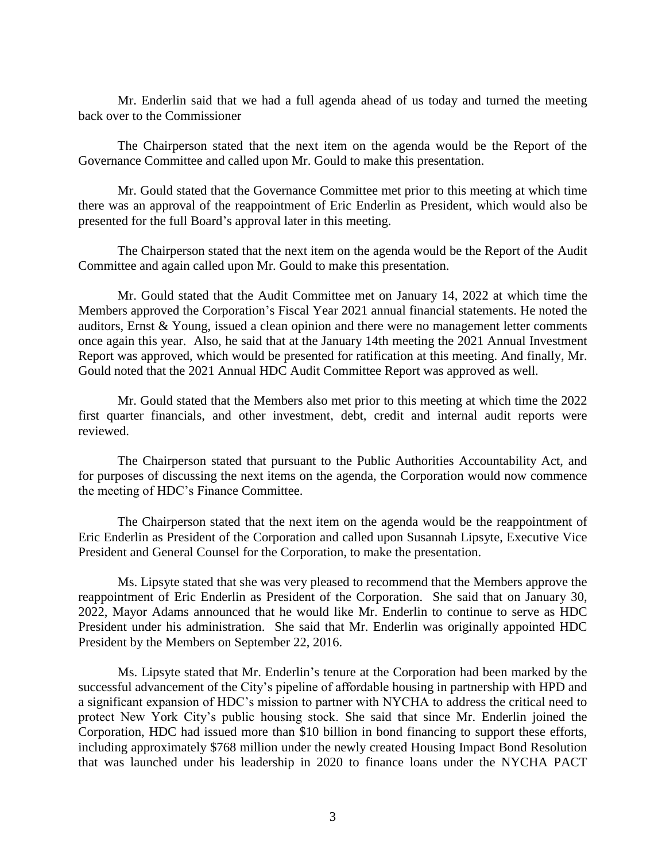Mr. Enderlin said that we had a full agenda ahead of us today and turned the meeting back over to the Commissioner

The Chairperson stated that the next item on the agenda would be the Report of the Governance Committee and called upon Mr. Gould to make this presentation.

Mr. Gould stated that the Governance Committee met prior to this meeting at which time there was an approval of the reappointment of Eric Enderlin as President, which would also be presented for the full Board's approval later in this meeting.

The Chairperson stated that the next item on the agenda would be the Report of the Audit Committee and again called upon Mr. Gould to make this presentation.

Mr. Gould stated that the Audit Committee met on January 14, 2022 at which time the Members approved the Corporation's Fiscal Year 2021 annual financial statements. He noted the auditors, Ernst & Young, issued a clean opinion and there were no management letter comments once again this year. Also, he said that at the January 14th meeting the 2021 Annual Investment Report was approved, which would be presented for ratification at this meeting. And finally, Mr. Gould noted that the 2021 Annual HDC Audit Committee Report was approved as well.

Mr. Gould stated that the Members also met prior to this meeting at which time the 2022 first quarter financials, and other investment, debt, credit and internal audit reports were reviewed.

The Chairperson stated that pursuant to the Public Authorities Accountability Act, and for purposes of discussing the next items on the agenda, the Corporation would now commence the meeting of HDC's Finance Committee.

The Chairperson stated that the next item on the agenda would be the reappointment of Eric Enderlin as President of the Corporation and called upon Susannah Lipsyte, Executive Vice President and General Counsel for the Corporation, to make the presentation.

Ms. Lipsyte stated that she was very pleased to recommend that the Members approve the reappointment of Eric Enderlin as President of the Corporation. She said that on January 30, 2022, Mayor Adams announced that he would like Mr. Enderlin to continue to serve as HDC President under his administration. She said that Mr. Enderlin was originally appointed HDC President by the Members on September 22, 2016.

Ms. Lipsyte stated that Mr. Enderlin's tenure at the Corporation had been marked by the successful advancement of the City's pipeline of affordable housing in partnership with HPD and a significant expansion of HDC's mission to partner with NYCHA to address the critical need to protect New York City's public housing stock. She said that since Mr. Enderlin joined the Corporation, HDC had issued more than \$10 billion in bond financing to support these efforts, including approximately \$768 million under the newly created Housing Impact Bond Resolution that was launched under his leadership in 2020 to finance loans under the NYCHA PACT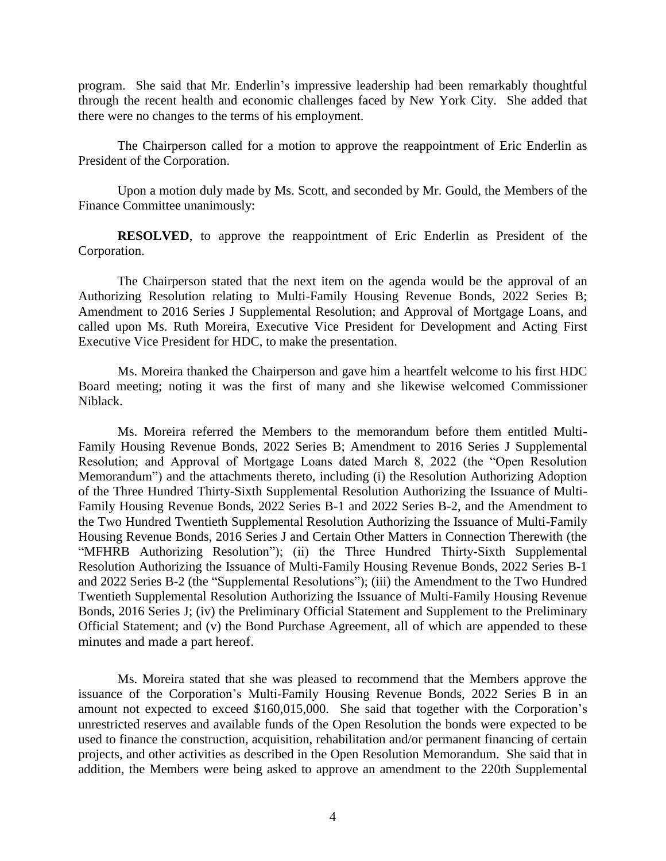program. She said that Mr. Enderlin's impressive leadership had been remarkably thoughtful through the recent health and economic challenges faced by New York City. She added that there were no changes to the terms of his employment.

The Chairperson called for a motion to approve the reappointment of Eric Enderlin as President of the Corporation.

Upon a motion duly made by Ms. Scott, and seconded by Mr. Gould, the Members of the Finance Committee unanimously:

**RESOLVED**, to approve the reappointment of Eric Enderlin as President of the Corporation.

The Chairperson stated that the next item on the agenda would be the approval of an Authorizing Resolution relating to Multi-Family Housing Revenue Bonds, 2022 Series B; Amendment to 2016 Series J Supplemental Resolution; and Approval of Mortgage Loans, and called upon Ms. Ruth Moreira, Executive Vice President for Development and Acting First Executive Vice President for HDC, to make the presentation.

Ms. Moreira thanked the Chairperson and gave him a heartfelt welcome to his first HDC Board meeting; noting it was the first of many and she likewise welcomed Commissioner Niblack.

Ms. Moreira referred the Members to the memorandum before them entitled Multi-Family Housing Revenue Bonds, 2022 Series B; Amendment to 2016 Series J Supplemental Resolution; and Approval of Mortgage Loans dated March 8, 2022 (the "Open Resolution Memorandum") and the attachments thereto, including (i) the Resolution Authorizing Adoption of the Three Hundred Thirty-Sixth Supplemental Resolution Authorizing the Issuance of Multi-Family Housing Revenue Bonds, 2022 Series B-1 and 2022 Series B-2, and the Amendment to the Two Hundred Twentieth Supplemental Resolution Authorizing the Issuance of Multi-Family Housing Revenue Bonds, 2016 Series J and Certain Other Matters in Connection Therewith (the "MFHRB Authorizing Resolution"); (ii) the Three Hundred Thirty-Sixth Supplemental Resolution Authorizing the Issuance of Multi-Family Housing Revenue Bonds, 2022 Series B-1 and 2022 Series B-2 (the "Supplemental Resolutions"); (iii) the Amendment to the Two Hundred Twentieth Supplemental Resolution Authorizing the Issuance of Multi-Family Housing Revenue Bonds, 2016 Series J; (iv) the Preliminary Official Statement and Supplement to the Preliminary Official Statement; and (v) the Bond Purchase Agreement, all of which are appended to these minutes and made a part hereof.

Ms. Moreira stated that she was pleased to recommend that the Members approve the issuance of the Corporation's Multi-Family Housing Revenue Bonds, 2022 Series B in an amount not expected to exceed \$160,015,000. She said that together with the Corporation's unrestricted reserves and available funds of the Open Resolution the bonds were expected to be used to finance the construction, acquisition, rehabilitation and/or permanent financing of certain projects, and other activities as described in the Open Resolution Memorandum. She said that in addition, the Members were being asked to approve an amendment to the 220th Supplemental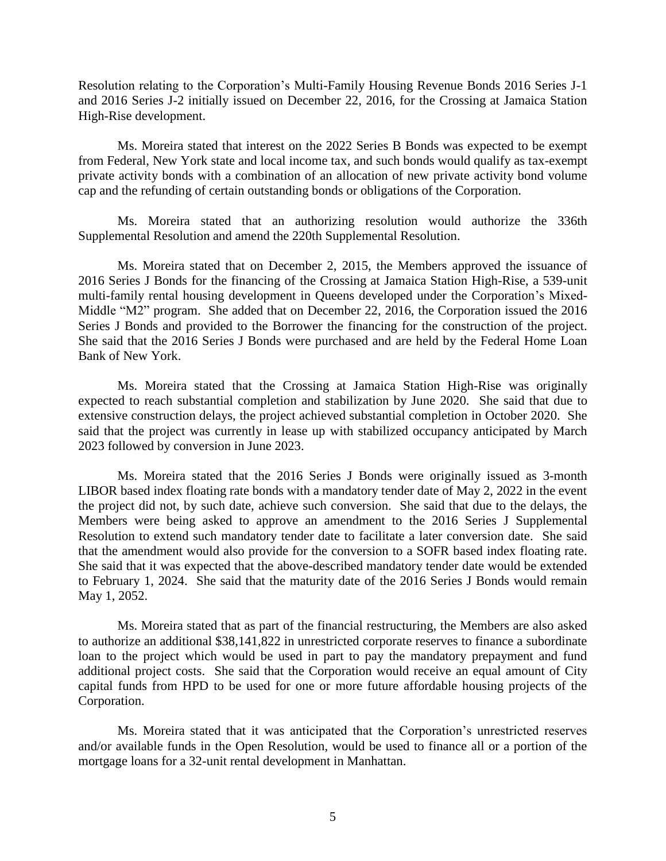Resolution relating to the Corporation's Multi-Family Housing Revenue Bonds 2016 Series J-1 and 2016 Series J-2 initially issued on December 22, 2016, for the Crossing at Jamaica Station High-Rise development.

Ms. Moreira stated that interest on the 2022 Series B Bonds was expected to be exempt from Federal, New York state and local income tax, and such bonds would qualify as tax-exempt private activity bonds with a combination of an allocation of new private activity bond volume cap and the refunding of certain outstanding bonds or obligations of the Corporation.

Ms. Moreira stated that an authorizing resolution would authorize the 336th Supplemental Resolution and amend the 220th Supplemental Resolution.

Ms. Moreira stated that on December 2, 2015, the Members approved the issuance of 2016 Series J Bonds for the financing of the Crossing at Jamaica Station High-Rise, a 539-unit multi-family rental housing development in Queens developed under the Corporation's Mixed-Middle "M2" program. She added that on December 22, 2016, the Corporation issued the 2016 Series J Bonds and provided to the Borrower the financing for the construction of the project. She said that the 2016 Series J Bonds were purchased and are held by the Federal Home Loan Bank of New York.

Ms. Moreira stated that the Crossing at Jamaica Station High-Rise was originally expected to reach substantial completion and stabilization by June 2020. She said that due to extensive construction delays, the project achieved substantial completion in October 2020. She said that the project was currently in lease up with stabilized occupancy anticipated by March 2023 followed by conversion in June 2023.

Ms. Moreira stated that the 2016 Series J Bonds were originally issued as 3-month LIBOR based index floating rate bonds with a mandatory tender date of May 2, 2022 in the event the project did not, by such date, achieve such conversion. She said that due to the delays, the Members were being asked to approve an amendment to the 2016 Series J Supplemental Resolution to extend such mandatory tender date to facilitate a later conversion date. She said that the amendment would also provide for the conversion to a SOFR based index floating rate. She said that it was expected that the above-described mandatory tender date would be extended to February 1, 2024. She said that the maturity date of the 2016 Series J Bonds would remain May 1, 2052.

Ms. Moreira stated that as part of the financial restructuring, the Members are also asked to authorize an additional \$38,141,822 in unrestricted corporate reserves to finance a subordinate loan to the project which would be used in part to pay the mandatory prepayment and fund additional project costs. She said that the Corporation would receive an equal amount of City capital funds from HPD to be used for one or more future affordable housing projects of the Corporation.

Ms. Moreira stated that it was anticipated that the Corporation's unrestricted reserves and/or available funds in the Open Resolution, would be used to finance all or a portion of the mortgage loans for a 32-unit rental development in Manhattan.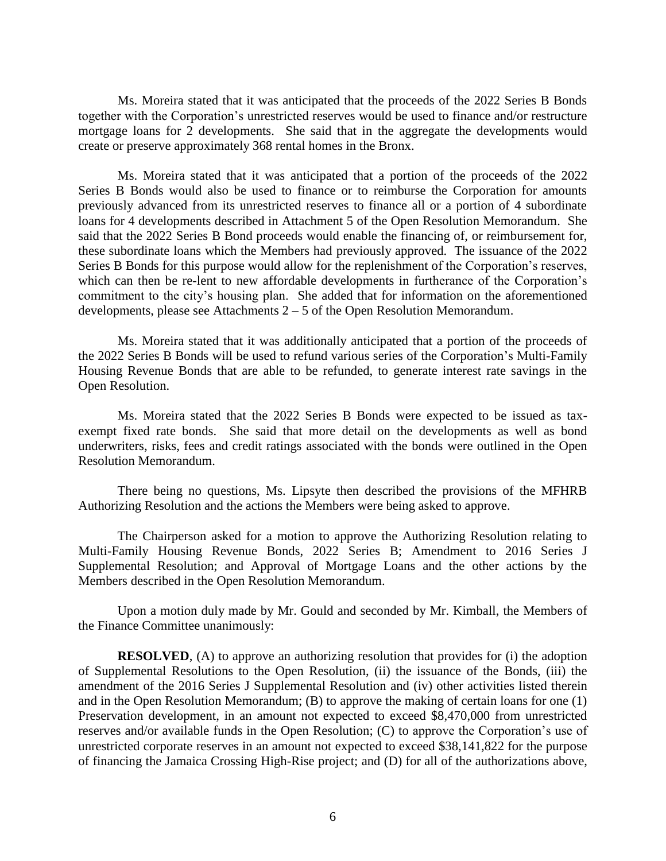Ms. Moreira stated that it was anticipated that the proceeds of the 2022 Series B Bonds together with the Corporation's unrestricted reserves would be used to finance and/or restructure mortgage loans for 2 developments. She said that in the aggregate the developments would create or preserve approximately 368 rental homes in the Bronx.

Ms. Moreira stated that it was anticipated that a portion of the proceeds of the 2022 Series B Bonds would also be used to finance or to reimburse the Corporation for amounts previously advanced from its unrestricted reserves to finance all or a portion of 4 subordinate loans for 4 developments described in Attachment 5 of the Open Resolution Memorandum. She said that the 2022 Series B Bond proceeds would enable the financing of, or reimbursement for, these subordinate loans which the Members had previously approved. The issuance of the 2022 Series B Bonds for this purpose would allow for the replenishment of the Corporation's reserves, which can then be re-lent to new affordable developments in furtherance of the Corporation's commitment to the city's housing plan. She added that for information on the aforementioned developments, please see Attachments  $2 - 5$  of the Open Resolution Memorandum.

Ms. Moreira stated that it was additionally anticipated that a portion of the proceeds of the 2022 Series B Bonds will be used to refund various series of the Corporation's Multi-Family Housing Revenue Bonds that are able to be refunded, to generate interest rate savings in the Open Resolution.

Ms. Moreira stated that the 2022 Series B Bonds were expected to be issued as taxexempt fixed rate bonds. She said that more detail on the developments as well as bond underwriters, risks, fees and credit ratings associated with the bonds were outlined in the Open Resolution Memorandum.

There being no questions, Ms. Lipsyte then described the provisions of the MFHRB Authorizing Resolution and the actions the Members were being asked to approve.

The Chairperson asked for a motion to approve the Authorizing Resolution relating to Multi-Family Housing Revenue Bonds, 2022 Series B; Amendment to 2016 Series J Supplemental Resolution; and Approval of Mortgage Loans and the other actions by the Members described in the Open Resolution Memorandum.

Upon a motion duly made by Mr. Gould and seconded by Mr. Kimball, the Members of the Finance Committee unanimously:

**RESOLVED**, (A) to approve an authorizing resolution that provides for (i) the adoption of Supplemental Resolutions to the Open Resolution, (ii) the issuance of the Bonds, (iii) the amendment of the 2016 Series J Supplemental Resolution and (iv) other activities listed therein and in the Open Resolution Memorandum; (B) to approve the making of certain loans for one (1) Preservation development, in an amount not expected to exceed \$8,470,000 from unrestricted reserves and/or available funds in the Open Resolution; (C) to approve the Corporation's use of unrestricted corporate reserves in an amount not expected to exceed \$38,141,822 for the purpose of financing the Jamaica Crossing High-Rise project; and (D) for all of the authorizations above,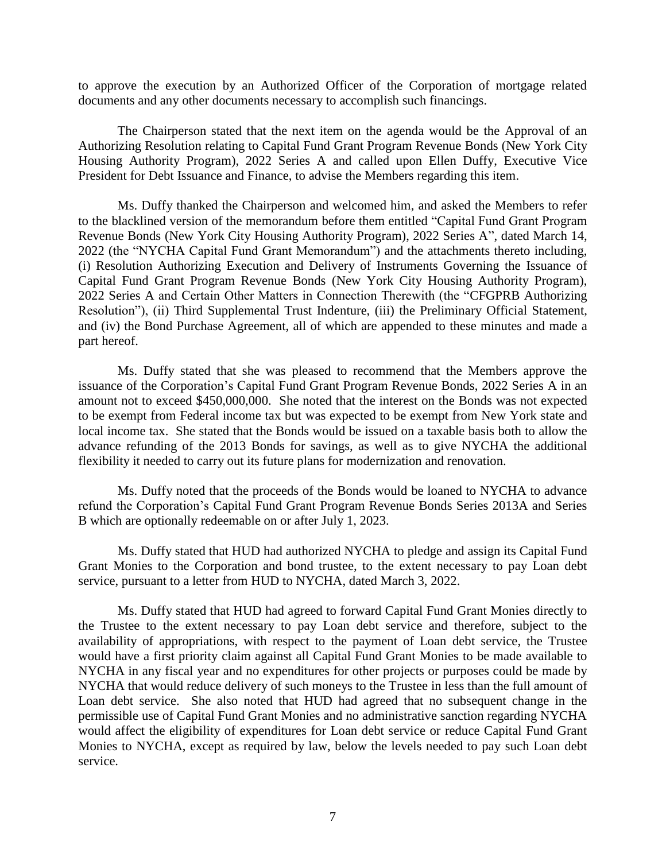to approve the execution by an Authorized Officer of the Corporation of mortgage related documents and any other documents necessary to accomplish such financings.

The Chairperson stated that the next item on the agenda would be the Approval of an Authorizing Resolution relating to Capital Fund Grant Program Revenue Bonds (New York City Housing Authority Program), 2022 Series A and called upon Ellen Duffy, Executive Vice President for Debt Issuance and Finance, to advise the Members regarding this item.

Ms. Duffy thanked the Chairperson and welcomed him, and asked the Members to refer to the blacklined version of the memorandum before them entitled "Capital Fund Grant Program Revenue Bonds (New York City Housing Authority Program), 2022 Series A", dated March 14, 2022 (the "NYCHA Capital Fund Grant Memorandum") and the attachments thereto including, (i) Resolution Authorizing Execution and Delivery of Instruments Governing the Issuance of Capital Fund Grant Program Revenue Bonds (New York City Housing Authority Program), 2022 Series A and Certain Other Matters in Connection Therewith (the "CFGPRB Authorizing Resolution"), (ii) Third Supplemental Trust Indenture, (iii) the Preliminary Official Statement, and (iv) the Bond Purchase Agreement, all of which are appended to these minutes and made a part hereof.

Ms. Duffy stated that she was pleased to recommend that the Members approve the issuance of the Corporation's Capital Fund Grant Program Revenue Bonds, 2022 Series A in an amount not to exceed \$450,000,000. She noted that the interest on the Bonds was not expected to be exempt from Federal income tax but was expected to be exempt from New York state and local income tax. She stated that the Bonds would be issued on a taxable basis both to allow the advance refunding of the 2013 Bonds for savings, as well as to give NYCHA the additional flexibility it needed to carry out its future plans for modernization and renovation.

Ms. Duffy noted that the proceeds of the Bonds would be loaned to NYCHA to advance refund the Corporation's Capital Fund Grant Program Revenue Bonds Series 2013A and Series B which are optionally redeemable on or after July 1, 2023.

Ms. Duffy stated that HUD had authorized NYCHA to pledge and assign its Capital Fund Grant Monies to the Corporation and bond trustee, to the extent necessary to pay Loan debt service, pursuant to a letter from HUD to NYCHA, dated March 3, 2022.

Ms. Duffy stated that HUD had agreed to forward Capital Fund Grant Monies directly to the Trustee to the extent necessary to pay Loan debt service and therefore, subject to the availability of appropriations, with respect to the payment of Loan debt service, the Trustee would have a first priority claim against all Capital Fund Grant Monies to be made available to NYCHA in any fiscal year and no expenditures for other projects or purposes could be made by NYCHA that would reduce delivery of such moneys to the Trustee in less than the full amount of Loan debt service. She also noted that HUD had agreed that no subsequent change in the permissible use of Capital Fund Grant Monies and no administrative sanction regarding NYCHA would affect the eligibility of expenditures for Loan debt service or reduce Capital Fund Grant Monies to NYCHA, except as required by law, below the levels needed to pay such Loan debt service.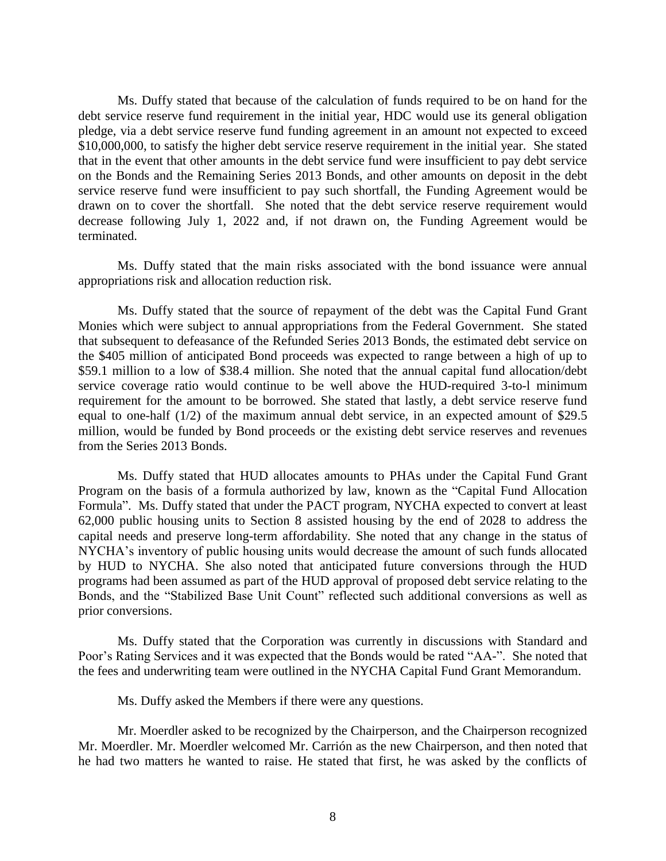Ms. Duffy stated that because of the calculation of funds required to be on hand for the debt service reserve fund requirement in the initial year, HDC would use its general obligation pledge, via a debt service reserve fund funding agreement in an amount not expected to exceed \$10,000,000, to satisfy the higher debt service reserve requirement in the initial year. She stated that in the event that other amounts in the debt service fund were insufficient to pay debt service on the Bonds and the Remaining Series 2013 Bonds, and other amounts on deposit in the debt service reserve fund were insufficient to pay such shortfall, the Funding Agreement would be drawn on to cover the shortfall. She noted that the debt service reserve requirement would decrease following July 1, 2022 and, if not drawn on, the Funding Agreement would be terminated.

Ms. Duffy stated that the main risks associated with the bond issuance were annual appropriations risk and allocation reduction risk.

Ms. Duffy stated that the source of repayment of the debt was the Capital Fund Grant Monies which were subject to annual appropriations from the Federal Government. She stated that subsequent to defeasance of the Refunded Series 2013 Bonds, the estimated debt service on the \$405 million of anticipated Bond proceeds was expected to range between a high of up to \$59.1 million to a low of \$38.4 million. She noted that the annual capital fund allocation/debt service coverage ratio would continue to be well above the HUD-required 3-to-l minimum requirement for the amount to be borrowed. She stated that lastly, a debt service reserve fund equal to one-half (1/2) of the maximum annual debt service, in an expected amount of \$29.5 million, would be funded by Bond proceeds or the existing debt service reserves and revenues from the Series 2013 Bonds.

Ms. Duffy stated that HUD allocates amounts to PHAs under the Capital Fund Grant Program on the basis of a formula authorized by law, known as the "Capital Fund Allocation Formula". Ms. Duffy stated that under the PACT program, NYCHA expected to convert at least 62,000 public housing units to Section 8 assisted housing by the end of 2028 to address the capital needs and preserve long-term affordability. She noted that any change in the status of NYCHA's inventory of public housing units would decrease the amount of such funds allocated by HUD to NYCHA. She also noted that anticipated future conversions through the HUD programs had been assumed as part of the HUD approval of proposed debt service relating to the Bonds, and the "Stabilized Base Unit Count" reflected such additional conversions as well as prior conversions.

Ms. Duffy stated that the Corporation was currently in discussions with Standard and Poor's Rating Services and it was expected that the Bonds would be rated "AA-". She noted that the fees and underwriting team were outlined in the NYCHA Capital Fund Grant Memorandum.

Ms. Duffy asked the Members if there were any questions.

Mr. Moerdler asked to be recognized by the Chairperson, and the Chairperson recognized Mr. Moerdler. Mr. Moerdler welcomed Mr. Carrión as the new Chairperson, and then noted that he had two matters he wanted to raise. He stated that first, he was asked by the conflicts of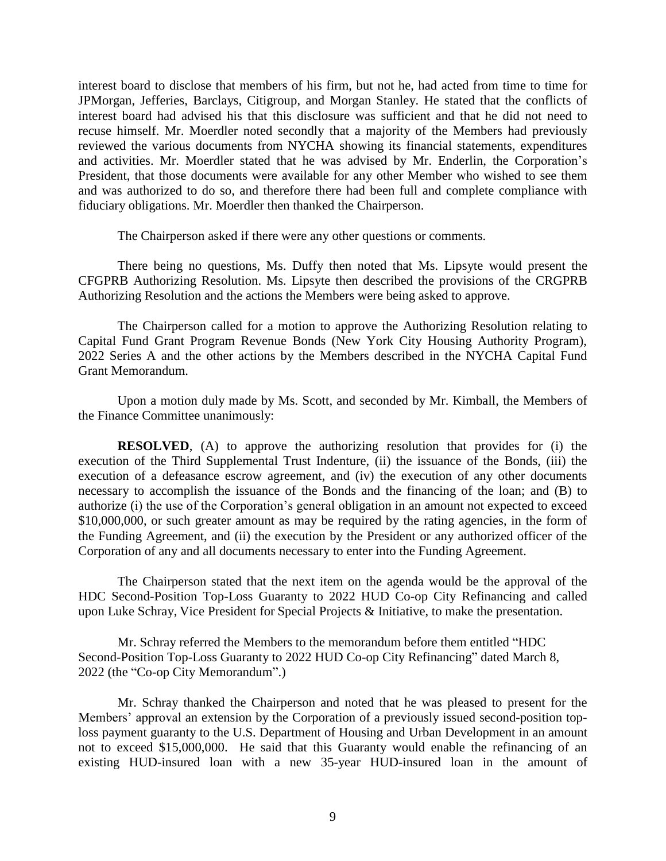interest board to disclose that members of his firm, but not he, had acted from time to time for JPMorgan, Jefferies, Barclays, Citigroup, and Morgan Stanley. He stated that the conflicts of interest board had advised his that this disclosure was sufficient and that he did not need to recuse himself. Mr. Moerdler noted secondly that a majority of the Members had previously reviewed the various documents from NYCHA showing its financial statements, expenditures and activities. Mr. Moerdler stated that he was advised by Mr. Enderlin, the Corporation's President, that those documents were available for any other Member who wished to see them and was authorized to do so, and therefore there had been full and complete compliance with fiduciary obligations. Mr. Moerdler then thanked the Chairperson.

The Chairperson asked if there were any other questions or comments.

There being no questions, Ms. Duffy then noted that Ms. Lipsyte would present the CFGPRB Authorizing Resolution. Ms. Lipsyte then described the provisions of the CRGPRB Authorizing Resolution and the actions the Members were being asked to approve.

The Chairperson called for a motion to approve the Authorizing Resolution relating to Capital Fund Grant Program Revenue Bonds (New York City Housing Authority Program), 2022 Series A and the other actions by the Members described in the NYCHA Capital Fund Grant Memorandum.

Upon a motion duly made by Ms. Scott, and seconded by Mr. Kimball, the Members of the Finance Committee unanimously:

**RESOLVED**, (A) to approve the authorizing resolution that provides for (i) the execution of the Third Supplemental Trust Indenture, (ii) the issuance of the Bonds, (iii) the execution of a defeasance escrow agreement, and (iv) the execution of any other documents necessary to accomplish the issuance of the Bonds and the financing of the loan; and (B) to authorize (i) the use of the Corporation's general obligation in an amount not expected to exceed \$10,000,000, or such greater amount as may be required by the rating agencies, in the form of the Funding Agreement, and (ii) the execution by the President or any authorized officer of the Corporation of any and all documents necessary to enter into the Funding Agreement.

The Chairperson stated that the next item on the agenda would be the approval of the HDC Second-Position Top-Loss Guaranty to 2022 HUD Co-op City Refinancing and called upon Luke Schray, Vice President for Special Projects & Initiative, to make the presentation.

Mr. Schray referred the Members to the memorandum before them entitled "HDC Second-Position Top-Loss Guaranty to 2022 HUD Co-op City Refinancing" dated March 8, 2022 (the "Co-op City Memorandum".)

Mr. Schray thanked the Chairperson and noted that he was pleased to present for the Members' approval an extension by the Corporation of a previously issued second-position toploss payment guaranty to the U.S. Department of Housing and Urban Development in an amount not to exceed \$15,000,000. He said that this Guaranty would enable the refinancing of an existing HUD-insured loan with a new 35-year HUD-insured loan in the amount of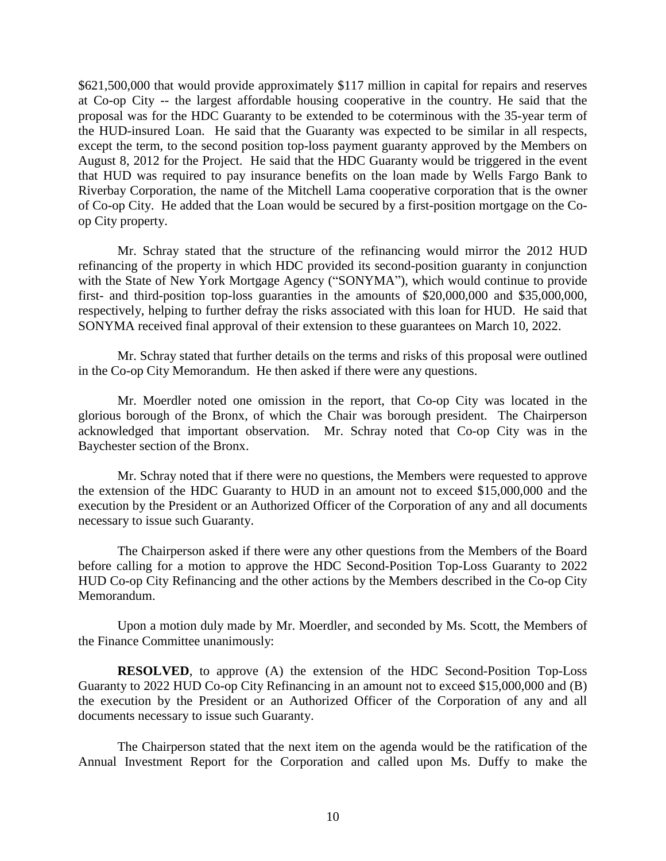\$621,500,000 that would provide approximately \$117 million in capital for repairs and reserves at Co-op City -- the largest affordable housing cooperative in the country. He said that the proposal was for the HDC Guaranty to be extended to be coterminous with the 35-year term of the HUD-insured Loan. He said that the Guaranty was expected to be similar in all respects, except the term, to the second position top-loss payment guaranty approved by the Members on August 8, 2012 for the Project. He said that the HDC Guaranty would be triggered in the event that HUD was required to pay insurance benefits on the loan made by Wells Fargo Bank to Riverbay Corporation, the name of the Mitchell Lama cooperative corporation that is the owner of Co-op City. He added that the Loan would be secured by a first-position mortgage on the Coop City property.

Mr. Schray stated that the structure of the refinancing would mirror the 2012 HUD refinancing of the property in which HDC provided its second-position guaranty in conjunction with the State of New York Mortgage Agency ("SONYMA"), which would continue to provide first- and third-position top-loss guaranties in the amounts of \$20,000,000 and \$35,000,000, respectively, helping to further defray the risks associated with this loan for HUD. He said that SONYMA received final approval of their extension to these guarantees on March 10, 2022.

Mr. Schray stated that further details on the terms and risks of this proposal were outlined in the Co-op City Memorandum. He then asked if there were any questions.

Mr. Moerdler noted one omission in the report, that Co-op City was located in the glorious borough of the Bronx, of which the Chair was borough president. The Chairperson acknowledged that important observation. Mr. Schray noted that Co-op City was in the Baychester section of the Bronx.

Mr. Schray noted that if there were no questions, the Members were requested to approve the extension of the HDC Guaranty to HUD in an amount not to exceed \$15,000,000 and the execution by the President or an Authorized Officer of the Corporation of any and all documents necessary to issue such Guaranty.

The Chairperson asked if there were any other questions from the Members of the Board before calling for a motion to approve the HDC Second-Position Top-Loss Guaranty to 2022 HUD Co-op City Refinancing and the other actions by the Members described in the Co-op City Memorandum.

Upon a motion duly made by Mr. Moerdler, and seconded by Ms. Scott, the Members of the Finance Committee unanimously:

**RESOLVED**, to approve (A) the extension of the HDC Second-Position Top-Loss Guaranty to 2022 HUD Co-op City Refinancing in an amount not to exceed \$15,000,000 and (B) the execution by the President or an Authorized Officer of the Corporation of any and all documents necessary to issue such Guaranty.

The Chairperson stated that the next item on the agenda would be the ratification of the Annual Investment Report for the Corporation and called upon Ms. Duffy to make the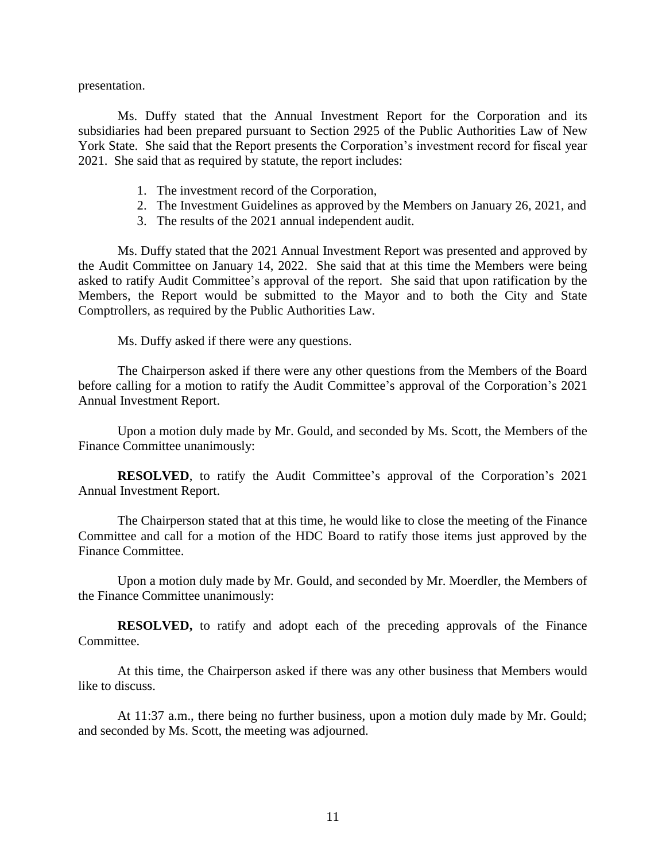presentation.

Ms. Duffy stated that the Annual Investment Report for the Corporation and its subsidiaries had been prepared pursuant to Section 2925 of the Public Authorities Law of New York State. She said that the Report presents the Corporation's investment record for fiscal year 2021. She said that as required by statute, the report includes:

- 1. The investment record of the Corporation,
- 2. The Investment Guidelines as approved by the Members on January 26, 2021, and
- 3. The results of the 2021 annual independent audit.

Ms. Duffy stated that the 2021 Annual Investment Report was presented and approved by the Audit Committee on January 14, 2022. She said that at this time the Members were being asked to ratify Audit Committee's approval of the report. She said that upon ratification by the Members, the Report would be submitted to the Mayor and to both the City and State Comptrollers, as required by the Public Authorities Law.

Ms. Duffy asked if there were any questions.

The Chairperson asked if there were any other questions from the Members of the Board before calling for a motion to ratify the Audit Committee's approval of the Corporation's 2021 Annual Investment Report.

Upon a motion duly made by Mr. Gould, and seconded by Ms. Scott, the Members of the Finance Committee unanimously:

**RESOLVED**, to ratify the Audit Committee's approval of the Corporation's 2021 Annual Investment Report.

The Chairperson stated that at this time, he would like to close the meeting of the Finance Committee and call for a motion of the HDC Board to ratify those items just approved by the Finance Committee.

Upon a motion duly made by Mr. Gould, and seconded by Mr. Moerdler, the Members of the Finance Committee unanimously:

**RESOLVED,** to ratify and adopt each of the preceding approvals of the Finance Committee.

At this time, the Chairperson asked if there was any other business that Members would like to discuss.

At 11:37 a.m., there being no further business, upon a motion duly made by Mr. Gould; and seconded by Ms. Scott, the meeting was adjourned.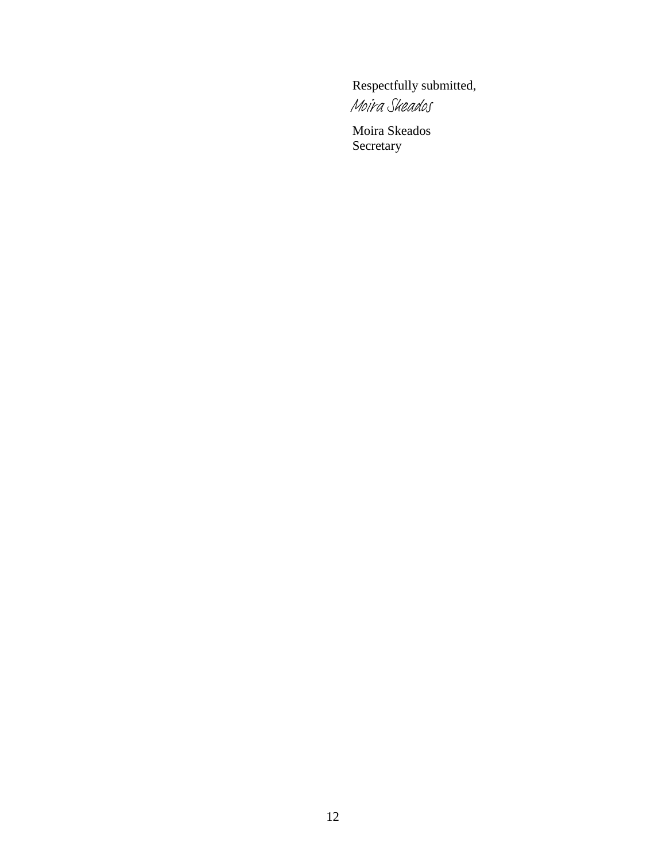Respectfully submitted, [Moira Skeados](https://nychdc.na1.echosign.com/verifier?tx=CBJCHBCAABAAQcJiqBeBQfa3ikxlDHRgqHK4iq3q9leZ)

Moira Skeados Secretary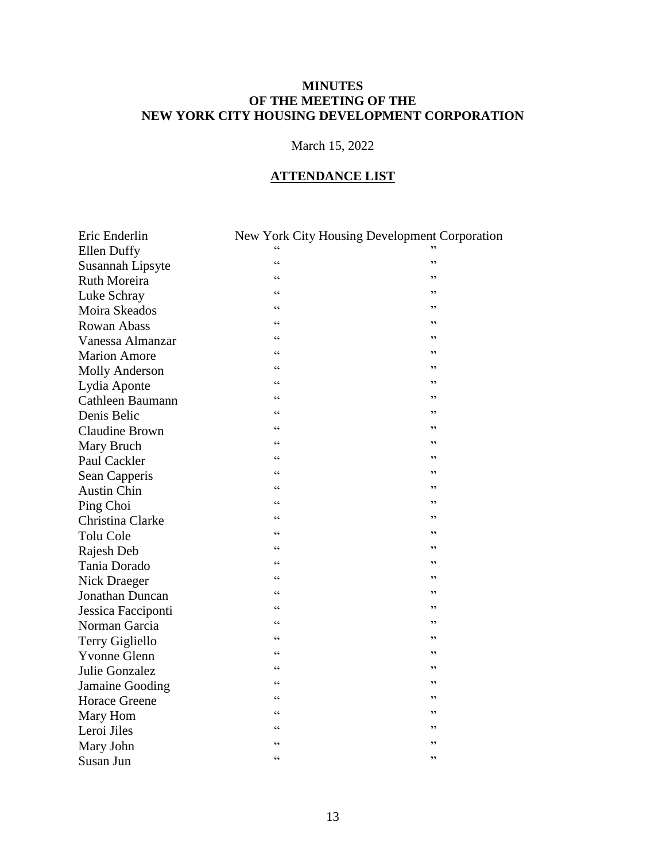## **MINUTES OF THE MEETING OF THE NEW YORK CITY HOUSING DEVELOPMENT CORPORATION**

# March 15, 2022

### **ATTENDANCE LIST**

| Eric Enderlin         |                          | New York City Housing Development Corporation |
|-----------------------|--------------------------|-----------------------------------------------|
| <b>Ellen Duffy</b>    |                          |                                               |
| Susannah Lipsyte      | $\epsilon$               | ,,                                            |
| Ruth Moreira          | $\epsilon$               | ,,                                            |
| Luke Schray           | $\epsilon$               | ,,                                            |
| Moira Skeados         | $\epsilon$               | ,,                                            |
| <b>Rowan Abass</b>    | $\zeta$ $\zeta$          | ,,                                            |
| Vanessa Almanzar      | $\epsilon$               | ,,                                            |
| <b>Marion Amore</b>   | $\epsilon$               | ,,                                            |
| <b>Molly Anderson</b> | $\boldsymbol{\varsigma}$ | ,,                                            |
| Lydia Aponte          | $\epsilon$               | ,,                                            |
| Cathleen Baumann      | $\epsilon$               | ,,                                            |
| Denis Belic           | $\epsilon$               | ,,                                            |
| <b>Claudine Brown</b> | $\epsilon$               | ,,                                            |
| Mary Bruch            | $\epsilon$               | ,,                                            |
| Paul Cackler          | C                        | , 2                                           |
| Sean Capperis         | $\epsilon$               | ,,                                            |
| <b>Austin Chin</b>    | $\epsilon$               | ,,                                            |
| Ping Choi             | C                        | ,,                                            |
| Christina Clarke      | $\epsilon$               | ,,                                            |
| <b>Tolu Cole</b>      | $\epsilon$               | ,,                                            |
| Rajesh Deb            | $\epsilon$               | ,,                                            |
| Tania Dorado          | $\epsilon$               | ,,                                            |
| Nick Draeger          | $\epsilon$               | ,,                                            |
| Jonathan Duncan       | $\epsilon$               | ,,                                            |
| Jessica Facciponti    | $\zeta$ $\zeta$          | ,,                                            |
| Norman Garcia         | $\epsilon$               | ,,                                            |
| Terry Gigliello       | $\epsilon$               | ,,                                            |
| <b>Yvonne Glenn</b>   | $\zeta$ $\zeta$          | ,,                                            |
| Julie Gonzalez        | $\epsilon$               | ,,                                            |
| Jamaine Gooding       | $\epsilon$               | ,,                                            |
| <b>Horace Greene</b>  | $\zeta$ $\zeta$          | ,,                                            |
| Mary Hom              | $\epsilon$               | ,,                                            |
| Leroi Jiles           | $\epsilon$               | ,,                                            |
| Mary John             | $\epsilon$               | ,,                                            |
| Susan Jun             | $\epsilon$               | ,,                                            |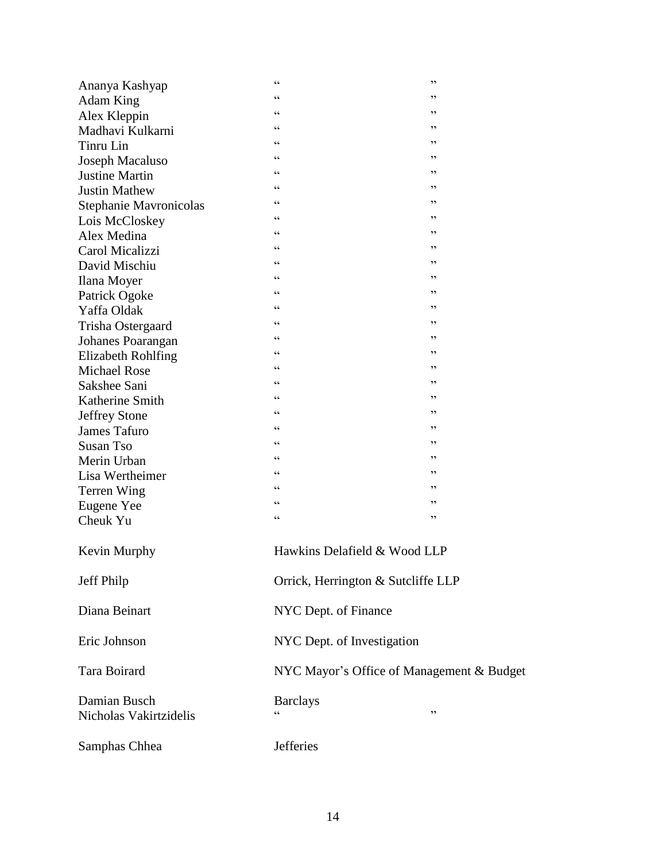| Ananya Kashyap                         | $\zeta\,\zeta$                                    | , 2                                |  |
|----------------------------------------|---------------------------------------------------|------------------------------------|--|
| Adam King                              | $\zeta$ $\zeta$                                   | , ,                                |  |
| Alex Kleppin                           | $\zeta$ $\zeta$                                   | , 2                                |  |
| Madhavi Kulkarni                       | $\zeta\,\zeta$                                    | ,,                                 |  |
| Tinru Lin                              | $\zeta\,\zeta$                                    | ,,                                 |  |
| Joseph Macaluso                        | $\zeta$ $\zeta$                                   | , 2                                |  |
| <b>Justine Martin</b>                  | $\zeta$ $\zeta$                                   | , 2                                |  |
| <b>Justin Mathew</b>                   | $\zeta$ $\zeta$                                   | , 2                                |  |
| Stephanie Mavronicolas                 | $\zeta\,\zeta$                                    | , 2                                |  |
| Lois McCloskey                         | $\zeta\,\zeta$                                    | , 2                                |  |
| Alex Medina                            | $\zeta$ $\zeta$                                   | , 2                                |  |
| Carol Micalizzi                        | cc                                                | , 2                                |  |
| David Mischiu                          | $\zeta$ $\zeta$                                   | , 2                                |  |
| Ilana Moyer                            | $\zeta\,\zeta$                                    | ,,                                 |  |
| Patrick Ogoke                          | $\zeta\,\zeta$                                    | , 2                                |  |
| Yaffa Oldak                            | $\zeta$ $\zeta$                                   | , 2                                |  |
| Trisha Ostergaard                      | $\zeta$ $\zeta$                                   | , 2                                |  |
| Johanes Poarangan                      | $\zeta\,\zeta$                                    | , 2                                |  |
| <b>Elizabeth Rohlfing</b>              | $\zeta\,\zeta$                                    | ,,                                 |  |
| <b>Michael Rose</b>                    | $\zeta\,\zeta$                                    | , 2                                |  |
| Sakshee Sani                           | $\zeta$ $\zeta$                                   | , 2                                |  |
| Katherine Smith                        | cc                                                | , 2                                |  |
| <b>Jeffrey Stone</b>                   | $\zeta\,\zeta$                                    | , 2                                |  |
| <b>James Tafuro</b>                    | $\zeta\,\zeta$                                    | ,,                                 |  |
| <b>Susan Tso</b>                       | $\zeta\,\zeta$                                    | , 2                                |  |
| Merin Urban                            | $\zeta\,\zeta$                                    | , 2                                |  |
| Lisa Wertheimer                        | $\zeta$ $\zeta$                                   | , 2                                |  |
| Terren Wing                            | $\zeta\,\zeta$                                    | , 2                                |  |
| Eugene Yee                             | $\zeta\,\zeta$                                    | , 2                                |  |
| Cheuk Yu                               | $\boldsymbol{\varsigma}$ $\boldsymbol{\varsigma}$ | , 2                                |  |
|                                        |                                                   |                                    |  |
| Kevin Murphy                           |                                                   | Hawkins Delafield & Wood LLP       |  |
| Jeff Philp                             |                                                   | Orrick, Herrington & Sutcliffe LLP |  |
| Diana Beinart                          |                                                   | NYC Dept. of Finance               |  |
| Eric Johnson                           | NYC Dept. of Investigation                        |                                    |  |
| Tara Boirard                           | NYC Mayor's Office of Management & Budget         |                                    |  |
|                                        |                                                   |                                    |  |
| Damian Busch<br>Nicholas Vakirtzidelis | <b>Barclays</b>                                   | $, ,$                              |  |
| Samphas Chhea                          | <b>Jefferies</b>                                  |                                    |  |